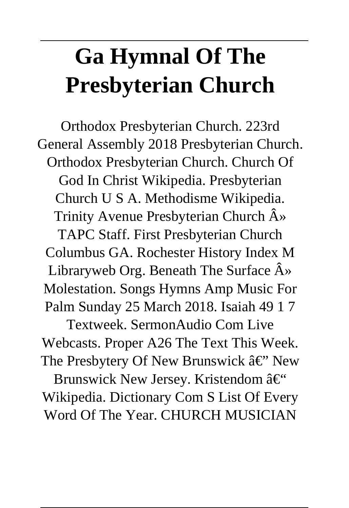# **Ga Hymnal Of The Presbyterian Church**

Orthodox Presbyterian Church. 223rd General Assembly 2018 Presbyterian Church. Orthodox Presbyterian Church. Church Of God In Christ Wikipedia. Presbyterian Church U S A. Methodisme Wikipedia. Trinity Avenue Presbyterian Church  $\hat{A}$ » TAPC Staff. First Presbyterian Church Columbus GA. Rochester History Index M Libraryweb Org. Beneath The Surface  $\hat{A}$ » Molestation. Songs Hymns Amp Music For Palm Sunday 25 March 2018. Isaiah 49 1 7

Textweek. SermonAudio Com Live Webcasts. Proper A26 The Text This Week. The Presbytery Of New Brunswick  $\hat{a} \in \tilde{C}$  New Brunswick New Jersey. Kristendom – Wikipedia. Dictionary Com S List Of Every

Word Of The Year. CHURCH MUSICIAN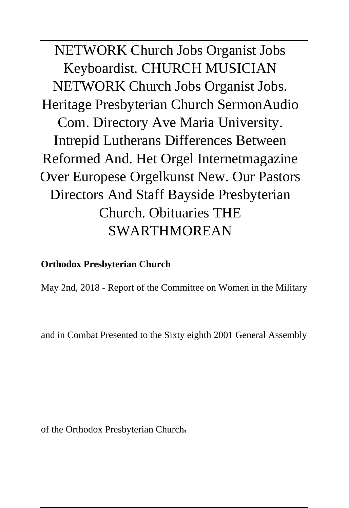NETWORK Church Jobs Organist Jobs Keyboardist. CHURCH MUSICIAN NETWORK Church Jobs Organist Jobs. Heritage Presbyterian Church SermonAudio Com. Directory Ave Maria University. Intrepid Lutherans Differences Between Reformed And. Het Orgel Internetmagazine Over Europese Orgelkunst New. Our Pastors Directors And Staff Bayside Presbyterian Church. Obituaries THE SWARTHMOREAN

#### **Orthodox Presbyterian Church**

May 2nd, 2018 - Report of the Committee on Women in the Military

and in Combat Presented to the Sixty eighth 2001 General Assembly

of the Orthodox Presbyterian Church'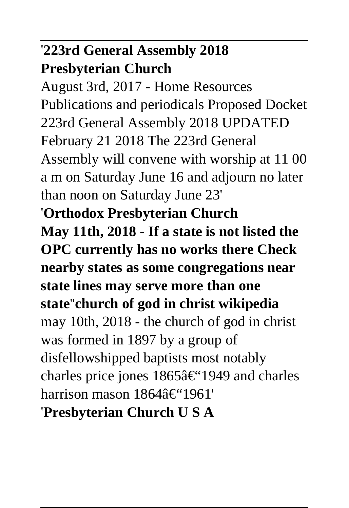# '**223rd General Assembly 2018 Presbyterian Church**

August 3rd, 2017 - Home Resources Publications and periodicals Proposed Docket 223rd General Assembly 2018 UPDATED February 21 2018 The 223rd General Assembly will convene with worship at 11 00 a m on Saturday June 16 and adjourn no later than noon on Saturday June 23' '**Orthodox Presbyterian Church May 11th, 2018 - If a state is not listed the OPC currently has no works there Check nearby states as some congregations near state lines may serve more than one state**''**church of god in christ wikipedia** may 10th, 2018 - the church of god in christ was formed in 1897 by a group of disfellowshipped baptists most notably charles price jones  $1865\hat{a} \in$ "1949 and charles harrison mason 1864–1961' '**Presbyterian Church U S A**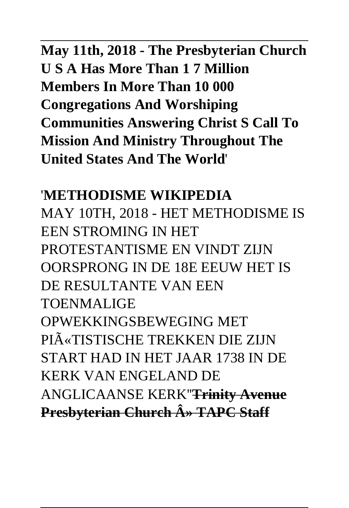# **May 11th, 2018 - The Presbyterian Church U S A Has More Than 1 7 Million Members In More Than 10 000 Congregations And Worshiping Communities Answering Christ S Call To Mission And Ministry Throughout The United States And The World**'

'**METHODISME WIKIPEDIA** MAY 10TH, 2018 - HET METHODISME IS EEN STROMING IN HET PROTESTANTISME EN VINDT ZIJN OORSPRONG IN DE 18E EEUW HET IS DE RESULTANTE VAN EEN TOENMALIGE OPWEKKINGSBEWEGING MET PIīTISTISCHE TREKKEN DIE ZIJN START HAD IN HET JAAR 1738 IN DE KERK VAN ENGELAND DE ANGLICAANSE KERK''**Trinity Avenue Presbyterian Church A» TAPC Staff**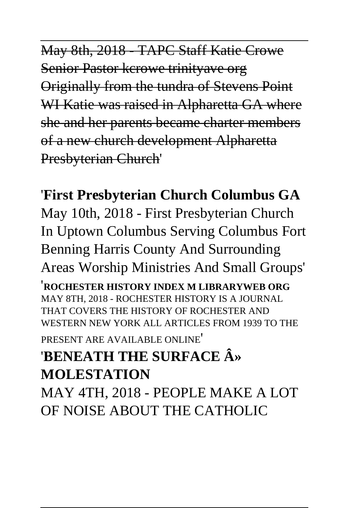May 8th, 2018 TAPC Staff Katie Crowe Senior Pastor kcrowe trinityave org Originally from the tundra of Stevens Point WI Katie was raised in Alpharetta GA where she and her parents became charter members of a new church development Alpharetta Presbyterian Church'

### '**First Presbyterian Church Columbus GA**

May 10th, 2018 - First Presbyterian Church In Uptown Columbus Serving Columbus Fort Benning Harris County And Surrounding Areas Worship Ministries And Small Groups'

'**ROCHESTER HISTORY INDEX M LIBRARYWEB ORG** MAY 8TH, 2018 - ROCHESTER HISTORY IS A JOURNAL THAT COVERS THE HISTORY OF ROCHESTER AND WESTERN NEW YORK ALL ARTICLES FROM 1939 TO THE

PRESENT ARE AVAILABLE ONLINE'

### '**BENEATH THE SURFACE » MOLESTATION**

MAY 4TH, 2018 - PEOPLE MAKE A LOT OF NOISE ABOUT THE CATHOLIC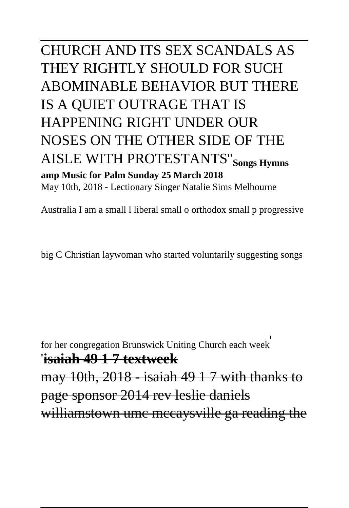## CHURCH AND ITS SEX SCANDALS AS THEY RIGHTLY SHOULD FOR SUCH ABOMINABLE BEHAVIOR BUT THERE IS A QUIET OUTRAGE THAT IS HAPPENING RIGHT UNDER OUR NOSES ON THE OTHER SIDE OF THE AISLE WITH PROTESTANTS''**Songs Hymns amp Music for Palm Sunday 25 March 2018** May 10th, 2018 - Lectionary Singer Natalie Sims Melbourne

Australia I am a small l liberal small o orthodox small p progressive

big C Christian laywoman who started voluntarily suggesting songs

for her congregation Brunswick Uniting Church each week'

'**isaiah 49 1 7 textweek**

may 10th, 2018 - isaiah 49 1 7 with thanks to page sponsor 2014 rev leslie daniels williamstown umc mccaysville ga reading the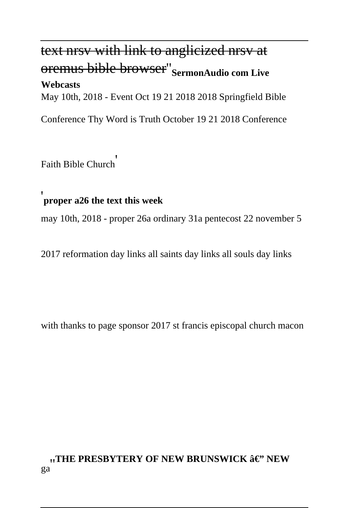# text nrsv with link to anglicized nrsv at oremus bible browser''**SermonAudio com Live**

#### **Webcasts**

May 10th, 2018 - Event Oct 19 21 2018 2018 Springfield Bible

Conference Thy Word is Truth October 19 21 2018 Conference

Faith Bible Church'

### '**proper a26 the text this week**

may 10th, 2018 - proper 26a ordinary 31a pentecost 22 november 5

2017 reformation day links all saints day links all souls day links

with thanks to page sponsor 2017 st francis episcopal church macon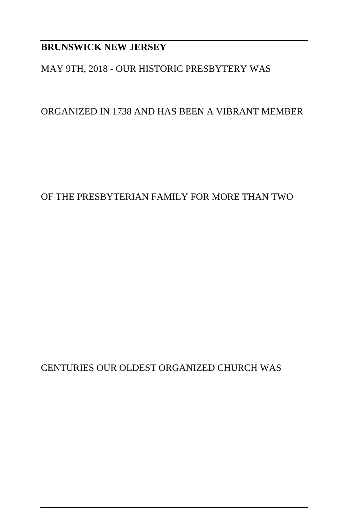#### **BRUNSWICK NEW JERSEY**

#### MAY 9TH, 2018 - OUR HISTORIC PRESBYTERY WAS

ORGANIZED IN 1738 AND HAS BEEN A VIBRANT MEMBER

#### OF THE PRESBYTERIAN FAMILY FOR MORE THAN TWO

CENTURIES OUR OLDEST ORGANIZED CHURCH WAS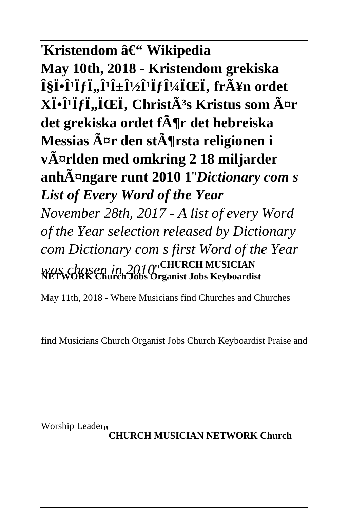### 'Kristendom – Wikipedia

**May 10th, 2018 - Kristendom grekiska ΧÏ•Î<sup>1</sup>ÏfÏ..Î<sup>1</sup>ανÎ<sup>1</sup>ÏfμÏŒÏ, frÃ¥n ordet XÏ**·Î<sup>*'*</sup>**Ï***f***Ï**,,ÏŒΪ, ChristÂ<sup>3</sup>s Kristus som ¤r **det grekiska ordet för det hebreiska Messias är den största religionen i världen med omkring 2 18 miljarder anhängare runt 2010 1**''*Dictionary com s List of Every Word of the Year November 28th, 2017 - A list of every Word of the Year selection released by Dictionary com Dictionary com s first Word of the Year was chosen in 2010*''**CHURCH MUSICIAN NETWORK Church Jobs Organist Jobs Keyboardist**

May 11th, 2018 - Where Musicians find Churches and Churches

find Musicians Church Organist Jobs Church Keyboardist Praise and

Worship Leader''**CHURCH MUSICIAN NETWORK Church**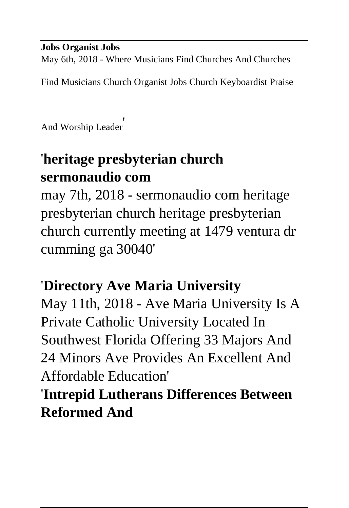#### **Jobs Organist Jobs**

May 6th, 2018 - Where Musicians Find Churches And Churches

Find Musicians Church Organist Jobs Church Keyboardist Praise

And Worship Leader'

# '**heritage presbyterian church sermonaudio com**

may 7th, 2018 - sermonaudio com heritage presbyterian church heritage presbyterian church currently meeting at 1479 ventura dr cumming ga 30040'

### '**Directory Ave Maria University**

May 11th, 2018 - Ave Maria University Is A Private Catholic University Located In Southwest Florida Offering 33 Majors And 24 Minors Ave Provides An Excellent And Affordable Education'

'**Intrepid Lutherans Differences Between Reformed And**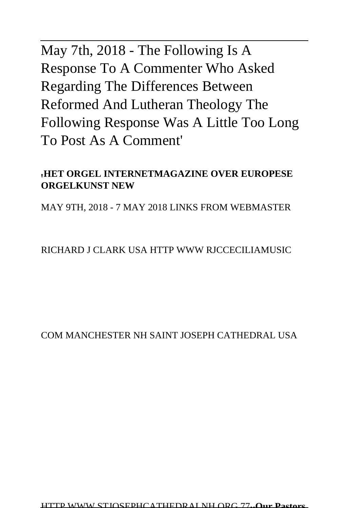# May 7th, 2018 - The Following Is A Response To A Commenter Who Asked Regarding The Differences Between Reformed And Lutheran Theology The Following Response Was A Little Too Long To Post As A Comment'

#### '**HET ORGEL INTERNETMAGAZINE OVER EUROPESE ORGELKUNST NEW**

MAY 9TH, 2018 - 7 MAY 2018 LINKS FROM WEBMASTER

RICHARD J CLARK USA HTTP WWW RJCCECILIAMUSIC

COM MANCHESTER NH SAINT JOSEPH CATHEDRAL USA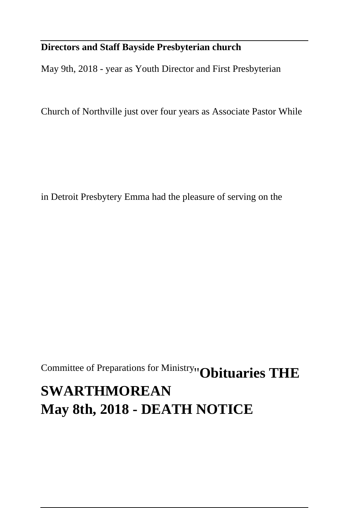#### **Directors and Staff Bayside Presbyterian church**

May 9th, 2018 - year as Youth Director and First Presbyterian

Church of Northville just over four years as Associate Pastor While

in Detroit Presbytery Emma had the pleasure of serving on the

Committee of Preparations for Ministry''**Obituaries THE SWARTHMOREAN May 8th, 2018 - DEATH NOTICE**